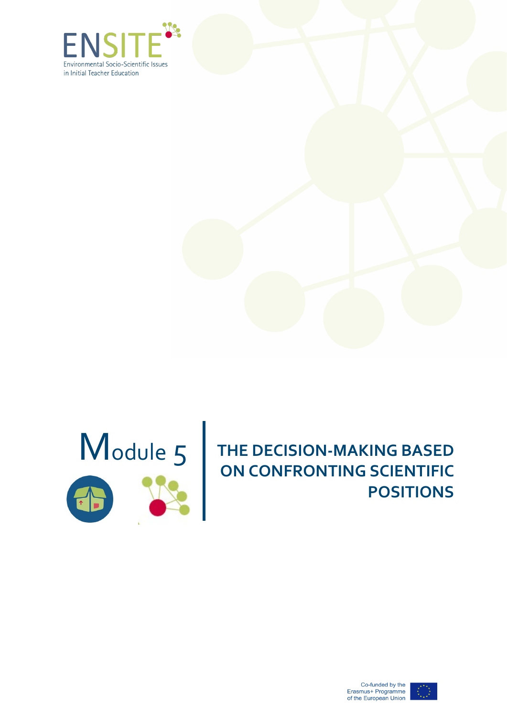





# Module 5 **THE DECISION-MAKING BASED**<br>
ON CONFRONTING SCIENTIFIC **ON CONFRONTING SCIENTIFIC POSITIONS**



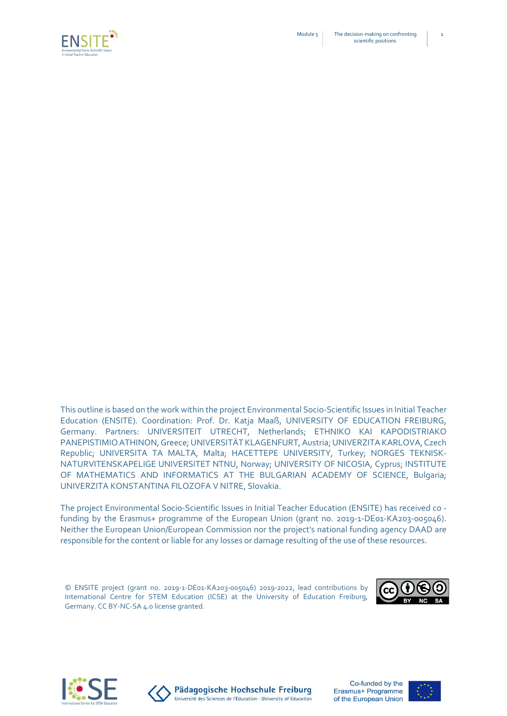



This outline is based on the work within the project Environmental Socio-Scientific Issues in Initial Teacher Education (ENSITE). Coordination: Prof. Dr. Katja Maaß, UNIVERSITY OF EDUCATION FREIBURG, Germany. Partners: UNIVERSITEIT UTRECHT, Netherlands; ETHNIKO KAI KAPODISTRIAKO PANEPISTIMIO ATHINON,Greece; UNIVERSITÄT KLAGENFURT, Austria; UNIVERZITA KARLOVA, Czech Republic; UNIVERSITA TA MALTA, Malta; HACETTEPE UNIVERSITY, Turkey; NORGES TEKNISK-NATURVITENSKAPELIGE UNIVERSITET NTNU, Norway; UNIVERSITY OF NICOSIA, Cyprus; INSTITUTE OF MATHEMATICS AND INFORMATICS AT THE BULGARIAN ACADEMY OF SCIENCE, Bulgaria; UNIVERZITA KONSTANTINA FILOZOFA V NITRE, Slovakia.

The project Environmental Socio-Scientific Issues in Initial Teacher Education (ENSITE) has received co funding by the Erasmus+ programme of the European Union (grant no. 2019-1-DE01-KA203-005046). Neither the European Union/European Commission nor the project's national funding agency DAAD are responsible for the content or liable for any losses or damage resulting of the use of these resources.

© ENSITE project (grant no. 2019-1-DE01-KA203-005046) 2019-2022, lead contributions by International Centre for STEM Education (ICSE) at the University of Education Freiburg, Germany. CC BY-NC-SA 4.0 license granted.







Pädagogische Hochschule Freiburg Université des Sciences de l'Education · University of Education

Co-funded by the Erasmus+ Programme of the European Union



1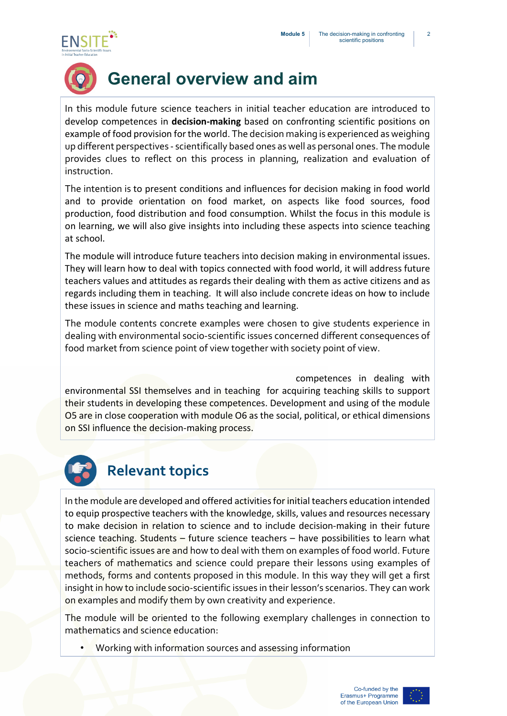



# **General overview and aim**

In this module future science teachers in initial teacher education are introduced to develop competences in **decision-making** based on confronting scientific positions on example of food provision for the world. The decision making is experienced as weighing up different perspectives - scientifically based ones as well as personal ones. The module provides clues to reflect on this process in planning, realization and evaluation of instruction.

The intention is to present conditions and influences for decision making in food world and to provide orientation on food market, on aspects like food sources, food production, food distribution and food consumption. Whilst the focus in this module is on learning, we will also give insights into including these aspects into science teaching at school.

The module will introduce future teachers into decision making in environmental issues. They will learn how to deal with topics connected with food world, it will address future teachers values and attitudes as regards their dealing with them as active citizens and as regards including them in teaching. It will also include concrete ideas on how to include these issues in science and maths teaching and learning.

The module contents concrete examples were chosen to give students experience in dealing with environmental socio-scientific issues concerned different consequences of food market from science point of view together with society point of view.

competences in dealing with environmental SSI themselves and in teaching for acquiring teaching skills to support their students in developing these competences. Development and using of the module O5 are in close cooperation with module O6 as the social, political, or ethical dimensions on SSI influence the decision-making process.



### **Relevant topics**

In the module are developed and offered activities for initial teachers education intended to equip prospective teachers with the knowledge, skills, values and resources necessary to make decision in relation to science and to include decision-making in their future science teaching. Students – future science teachers – have possibilities to learn what socio-scientific issues are and how to deal with them on examples of food world. Future teachers of mathematics and science could prepare their lessons using examples of methods, forms and contents proposed in this module. In this way they will get a first insight in how to include socio-scientific issues in their lesson's scenarios. They can work on examples and modify them by own creativity and experience.

The module will be oriented to the following exemplary challenges in connection to mathematics and science education:

• Working with information sources and assessing information

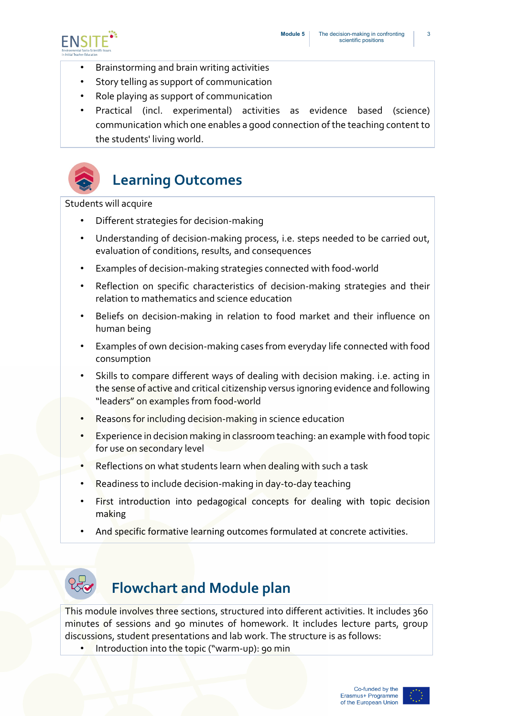

- Brainstorming and brain writing activities
- Story telling as support of communication
- Role playing as support of communication
- Practical (incl. experimental) activities as evidence based (science) communication which one enables a good connection of the teaching content to the students' living world.



# **Learning Outcomes**

Students will acquire

- Different strategies for decision-making
- Understanding of decision-making process, i.e. steps needed to be carried out, evaluation of conditions, results, and consequences
- Examples of decision-making strategies connected with food-world
- Reflection on specific characteristics of decision-making strategies and their relation to mathematics and science education
- Beliefs on decision-making in relation to food market and their influence on human being
- Examples of own decision-making cases from everyday life connected with food consumption
- Skills to compare different ways of dealing with decision making. i.e. acting in the sense of active and critical citizenship versus ignoring evidence and following "leaders" on examples from food-world
- Reasons for including decision-making in science education
- Experience in decision making in classroom teaching: an example with food topic for use on secondary level
- Reflections on what students learn when dealing with such a task
- Readiness to include decision-making in day-to-day teaching
- First introduction into pedagogical concepts for dealing with topic decision making
- And specific formative learning outcomes formulated at concrete activities.



## **Flowchart and Module plan**

This module involves three sections, structured into different activities. It includes 360 minutes of sessions and 90 minutes of homework. It includes lecture parts, group discussions, student presentations and lab work. The structure is as follows:

Introduction into the topic ("warm-up): 90 min

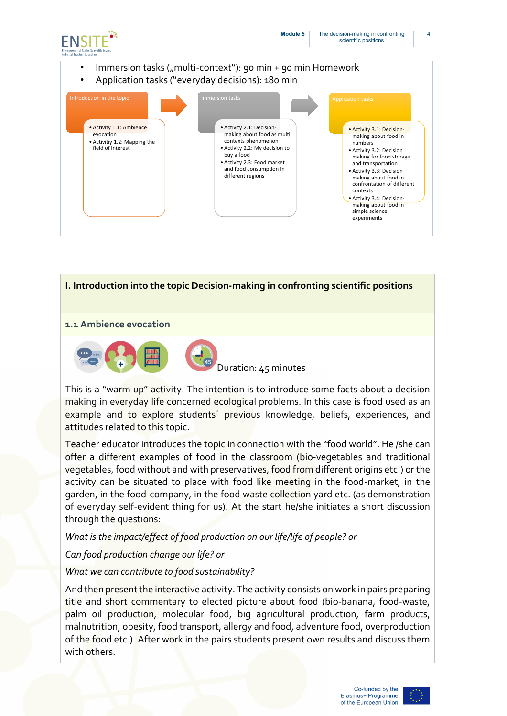

#### Immersion tasks ("multi-context"): 90 min + 90 min Homework

• Application tasks ("everyday decisions): 180 min





This is a "warm up" activity. The intention is to introduce some facts about a decision making in everyday life concerned ecological problems. In this case is food used as an example and to explore students' previous knowledge, beliefs, experiences, and attitudes related to this topic.

Teacher educator introduces the topic in connection with the "food world". He /she can offer a different examples of food in the classroom (bio-vegetables and traditional vegetables, food without and with preservatives, food from different origins etc.) or the activity can be situated to place with food like meeting in the food-market, in the garden, in the food-company, in the food waste collection yard etc. (as demonstration of everyday self-evident thing for us). At the start he/she initiates a short discussion through the questions:

*What is the impact/effect of food production on our life/life of people? or*

*Can food production change our life? or* 

#### *What we can contribute to food sustainability?*

And then present the interactive activity. The activity consists on work in pairs preparing title and short commentary to elected picture about food (bio-banana, food-waste, palm oil production, molecular food, big agricultural production, farm products, malnutrition, obesity, food transport, allergy and food, adventure food, overproduction of the food etc.). After work in the pairs students present own results and discuss them with others.

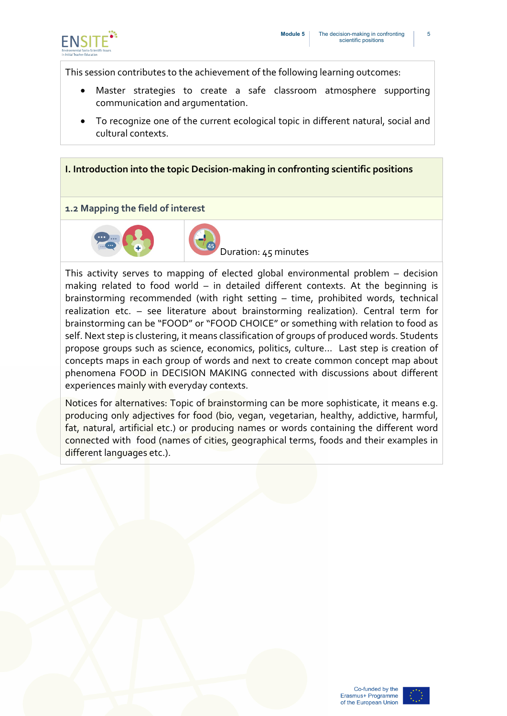

This session contributes to the achievement of the following learning outcomes:

- Master strategies to create a safe classroom atmosphere supporting communication and argumentation.
- To recognize one of the current ecological topic in different natural, social and cultural contexts.

#### **I. Introduction into the topic Decision-making in confronting scientific positions**

#### **1.2 Mapping the field of interest**



Duration: 45 minutes

This activity serves to mapping of elected global environmental problem – decision making related to food world – in detailed different contexts. At the beginning is brainstorming recommended (with right setting – time, prohibited words, technical realization etc. – see literature about brainstorming realization). Central term for brainstorming can be "FOOD" or "FOOD CHOICE" or something with relation to food as self. Next step is clustering, it means classification of groups of produced words. Students propose groups such as science, economics, politics, culture… Last step is creation of concepts maps in each group of words and next to create common concept map about phenomena FOOD in DECISION MAKING connected with discussions about different experiences mainly with everyday contexts.

Notices for alternatives: Topic of brainstorming can be more sophisticate, it means e.g. producing only adjectives for food (bio, vegan, vegetarian, healthy, addictive, harmful, fat, natural, artificial etc.) or producing names or words containing the different word connected with food (names of cities, geographical terms, foods and their examples in different languages etc.).

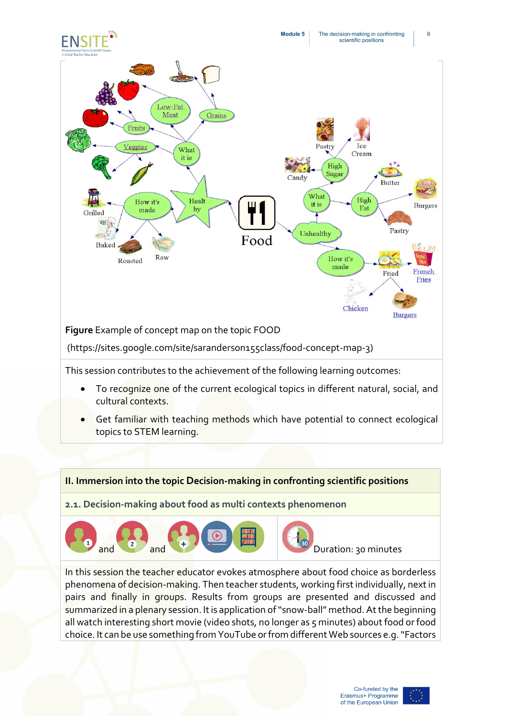

This session contributes to the achievement of the following learning outcomes:

- To recognize one of the current ecological topics in different natural, social, and cultural contexts.
- Get familiar with teaching methods which have potential to connect ecological topics to STEM learning.

#### **II. Immersion into the topic Decision-making in confronting scientific positions**

**2.1. Decision-making about food as multi contexts phenomenon**

![](_page_6_Picture_6.jpeg)

Duration: 30 minutes

In this session the teacher educator evokes atmosphere about food choice as borderless phenomena of decision-making. Then teacher students, working first individually, next in pairs and finally in groups. Results from groups are presented and discussed and summarized in a plenary session. It is application of "snow-ball" method. At the beginning all watch interesting short movie (video shots, no longer as 5 minutes) about food or food choice. It can be use something from YouTube or from different Web sources e.g. "Factors

![](_page_6_Picture_10.jpeg)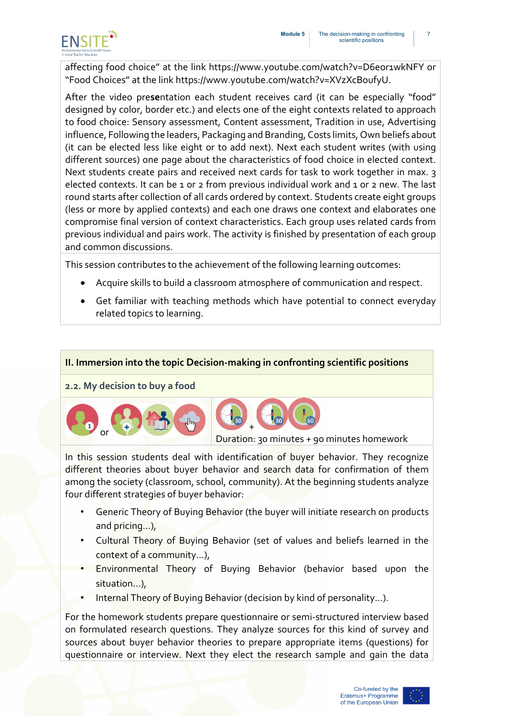![](_page_7_Picture_1.jpeg)

affecting food choice" at the link <https://www.youtube.com/watch?v=D6eor1wkNFY> or "Food Choices" at the link [https://www.youtube.com/watch?v=XVzXcBoufyU.](https://www.youtube.com/watch?v=XVzXcBoufyU)

After the video pre**se**ntation each student receives card (it can be especially "food" designed by color, border etc.) and elects one of the eight contexts related to approach to food choice: Sensory assessment, Content assessment, Tradition in use, Advertising influence, Following the leaders, Packaging and Branding, Costs limits, Own beliefs about (it can be elected less like eight or to add next). Next each student writes (with using different sources) one page about the characteristics of food choice in elected context. Next students create pairs and received next cards for task to work together in max. 3 elected contexts. It can be 1 or 2 from previous individual work and 1 or 2 new. The last round starts after collection of all cards ordered by context. Students create eight groups (less or more by applied contexts) and each one draws one context and elaborates one compromise final version of context characteristics. Each group uses related cards from previous individual and pairs work. The activity is finished by presentation of each group and common discussions.

This session contributes to the achievement of the following learning outcomes:

- Acquire skills to build a classroom atmosphere of communication and respect.
- Get familiar with teaching methods which have potential to connect everyday related topics to learning.

#### **II. Immersion into the topic Decision-making in confronting scientific positions**

**2.2. My decision to buy a food**

![](_page_7_Picture_9.jpeg)

In this session students deal with identification of buyer behavior. They recognize different theories about buyer behavior and search data for confirmation of them among the society (classroom, school, community). At the beginning students analyze four different strategies of buyer behavior:

- Generic Theory of Buying Behavior (the buyer will initiate research on products and pricing…),
- Cultural Theory of Buying Behavior (set of values and beliefs learned in the context of a community…),
- Environmental Theory of Buying Behavior (behavior based upon the situation…),
- Internal Theory of Buying Behavior (decision by kind of personality...).

For the homework students prepare questionnaire or semi-structured interview based on formulated research questions. They analyze sources for this kind of survey and sources about buyer behavior theories to prepare appropriate items (questions) for questionnaire or interview. Next they elect the research sample and gain the data

![](_page_7_Picture_17.jpeg)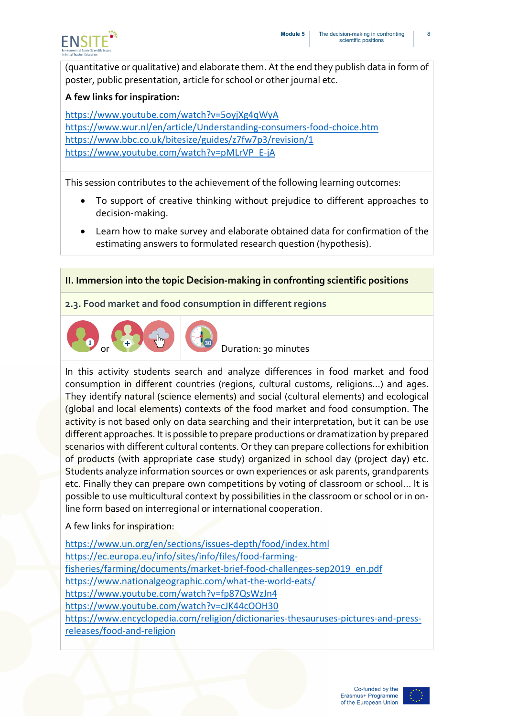![](_page_8_Picture_1.jpeg)

(quantitative or qualitative) and elaborate them. At the end they publish data in form of poster, public presentation, article for school or other journal etc.

#### **A few links for inspiration:**

<https://www.youtube.com/watch?v=5oyjXg4qWyA> <https://www.wur.nl/en/article/Understanding-consumers-food-choice.htm> <https://www.bbc.co.uk/bitesize/guides/z7fw7p3/revision/1> [https://www.youtube.com/watch?v=pMLrVP\\_E-jA](https://www.youtube.com/watch?v=pMLrVP_E-jA)

This session contributes to the achievement of the following learning outcomes:

- To support of creative thinking without prejudice to different approaches to decision-making.
- Learn how to make survey and elaborate obtained data for confirmation of the estimating answers to formulated research question (hypothesis).

#### **II. Immersion into the topic Decision-making in confronting scientific positions**

**2.3. Food market and food consumption in different regions**

![](_page_8_Picture_10.jpeg)

Duration: 30 minutes

In this activity students search and analyze differences in food market and food consumption in different countries (regions, cultural customs, religions…) and ages. They identify natural (science elements) and social (cultural elements) and ecological (global and local elements) contexts of the food market and food consumption. The activity is not based only on data searching and their interpretation, but it can be use different approaches. It is possible to prepare productions or dramatization by prepared scenarios with different cultural contents. Or they can prepare collections for exhibition of products (with appropriate case study) organized in school day (project day) etc. Students analyze information sources or own experiences or ask parents, grandparents etc. Finally they can prepare own competitions by voting of classroom or school... It is possible to use multicultural context by possibilities in the classroom or school or in online form based on interregional or international cooperation.

A few links for inspiration:

<https://www.un.org/en/sections/issues-depth/food/index.html> [https://ec.europa.eu/info/sites/info/files/food-farming](https://ec.europa.eu/info/sites/info/files/food-farming-fisheries/farming/documents/market-brief-food-challenges-sep2019_en.pdf)[fisheries/farming/documents/market-brief-food-challenges-sep2019\\_en.pdf](https://ec.europa.eu/info/sites/info/files/food-farming-fisheries/farming/documents/market-brief-food-challenges-sep2019_en.pdf) <https://www.nationalgeographic.com/what-the-world-eats/> <https://www.youtube.com/watch?v=fp87QsWzJn4> <https://www.youtube.com/watch?v=cJK44cOOH30> [https://www.encyclopedia.com/religion/dictionaries-thesauruses-pictures-and-press](https://www.encyclopedia.com/religion/dictionaries-thesauruses-pictures-and-press-releases/food-and-religion)[releases/food-and-religion](https://www.encyclopedia.com/religion/dictionaries-thesauruses-pictures-and-press-releases/food-and-religion)

![](_page_8_Picture_16.jpeg)

8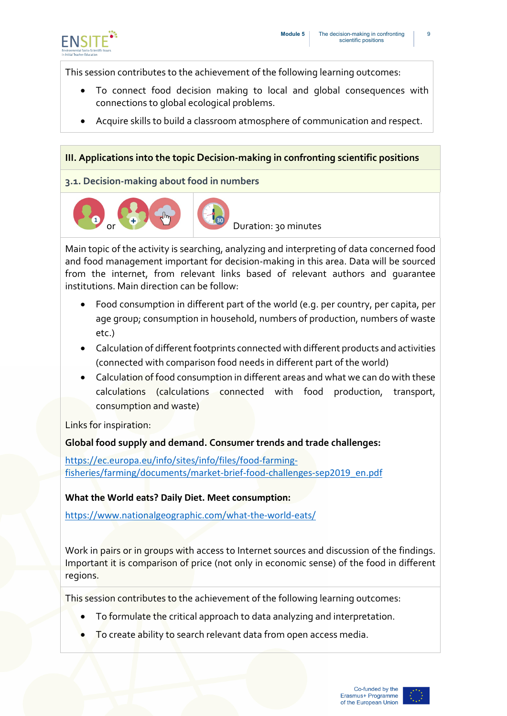![](_page_9_Picture_1.jpeg)

This session contributes to the achievement of the following learning outcomes:

- To connect food decision making to local and global consequences with connections to global ecological problems.
- Acquire skills to build a classroom atmosphere of communication and respect.

#### **III. Applications into the topic Decision-making in confronting scientific positions**

**3.1. Decision-making about food in numbers**

![](_page_9_Picture_7.jpeg)

Duration: 30 minutes

Main topic of the activity is searching, analyzing and interpreting of data concerned food and food management important for decision-making in this area. Data will be sourced from the internet, from relevant links based of relevant authors and guarantee institutions. Main direction can be follow:

- Food consumption in different part of the world (e.g. per country, per capita, per age group; consumption in household, numbers of production, numbers of waste etc.)
- Calculation of different footprints connected with different products and activities (connected with comparison food needs in different part of the world)
- Calculation of food consumption in different areas and what we can do with these calculations (calculations connected with food production, transport, consumption and waste)

Links for inspiration:

**Global food supply and demand. Consumer trends and trade challenges:**

[https://ec.europa.eu/info/sites/info/files/food-farming](https://ec.europa.eu/info/sites/info/files/food-farming-fisheries/farming/documents/market-brief-food-challenges-sep2019_en.pdf)[fisheries/farming/documents/market-brief-food-challenges-sep2019\\_en.pdf](https://ec.europa.eu/info/sites/info/files/food-farming-fisheries/farming/documents/market-brief-food-challenges-sep2019_en.pdf)

#### **What the World eats? Daily Diet. Meet consumption:**

<https://www.nationalgeographic.com/what-the-world-eats/>

Work in pairs or in groups with access to Internet sources and discussion of the findings. Important it is comparison of price (not only in economic sense) of the food in different regions.

This session contributes to the achievement of the following learning outcomes:

- To formulate the critical approach to data analyzing and interpretation.
- To create ability to search relevant data from open access media.

![](_page_9_Picture_23.jpeg)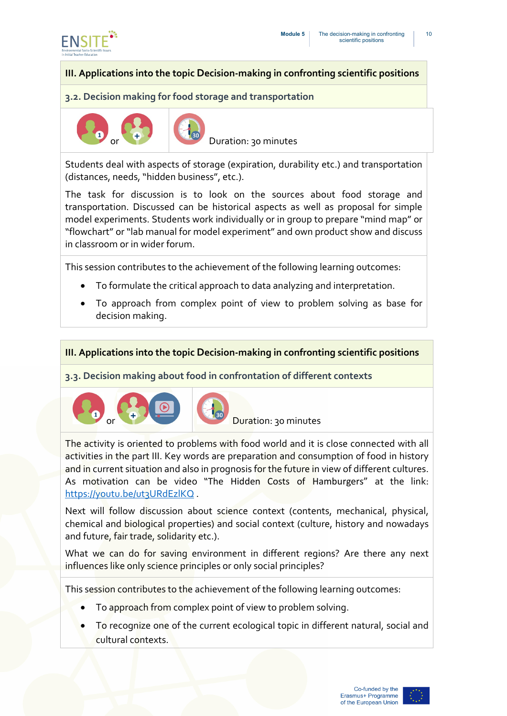![](_page_10_Picture_0.jpeg)

#### **III. Applications into the topic Decision-making in confronting scientific positions**

#### **3.2. Decision making for food storage and transportation**

![](_page_10_Picture_4.jpeg)

Duration: 30 minutes

Students deal with aspects of storage (expiration, durability etc.) and transportation (distances, needs, "hidden business", etc.).

The task for discussion is to look on the sources about food storage and transportation. Discussed can be historical aspects as well as proposal for simple model experiments. Students work individually or in group to prepare "mind map" or "flowchart" or "lab manual for model experiment" and own product show and discuss in classroom or in wider forum.

This session contributes to the achievement of the following learning outcomes:

- To formulate the critical approach to data analyzing and interpretation.
- To approach from complex point of view to problem solving as base for decision making.

#### **III. Applications into the topic Decision-making in confronting scientific positions**

#### **3.3. Decision making about food in confrontation of different contexts**

![](_page_10_Picture_13.jpeg)

Duration: 30 minutes

The activity is oriented to problems with food world and it is close connected with all activities in the part III. Key words are preparation and consumption of food in history and in current situation and also in prognosis for the future in view of different cultures. As motivation can be video "The Hidden Costs of Hamburgers" at the link: <https://youtu.be/ut3URdEzlKQ>

Next will follow discussion about science context (contents, mechanical, physical, chemical and biological properties) and social context (culture, history and nowadays and future, fair trade, solidarity etc.).

What we can do for saving environment in different regions? Are there any next influences like only science principles or only social principles?

This session contributes to the achievement of the following learning outcomes:

- To approach from complex point of view to problem solving.
- To recognize one of the current ecological topic in different natural, social and cultural contexts.

![](_page_10_Picture_23.jpeg)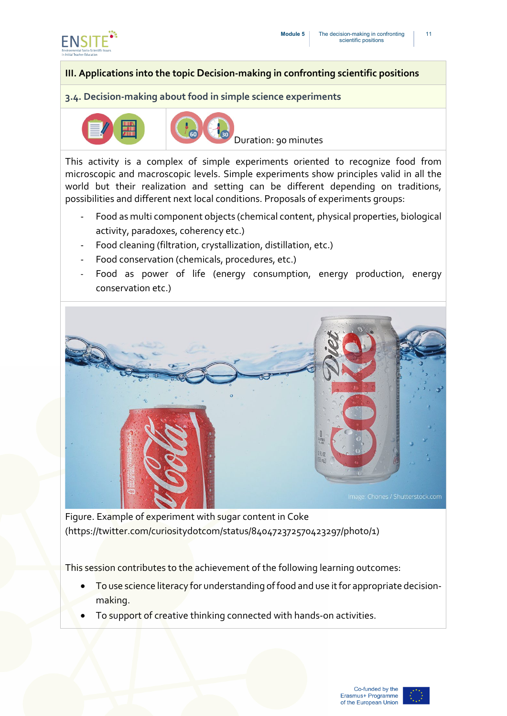![](_page_11_Picture_0.jpeg)

#### **III. Applications into the topic Decision-making in confronting scientific positions**

#### **3.4. Decision-making about food in simple science experiments**

![](_page_11_Picture_4.jpeg)

![](_page_11_Picture_5.jpeg)

Duration: 90 minutes

This activity is a complex of simple experiments oriented to recognize food from microscopic and macroscopic levels. Simple experiments show principles valid in all the world but their realization and setting can be different depending on traditions, possibilities and different next local conditions. Proposals of experiments groups:

- Food as multi component objects (chemical content, physical properties, biological activity, paradoxes, coherency etc.)
- Food cleaning (filtration, crystallization, distillation, etc.)
- Food conservation (chemicals, procedures, etc.)
- Food as power of life (energy consumption, energy production, energy conservation etc.)

![](_page_11_Picture_12.jpeg)

Figure. Example of experiment with sugar content in Coke (https://twitter.com/curiositydotcom/status/840472372570423297/photo/1)

This session contributes to the achievement of the following learning outcomes:

- To use science literacy for understanding of food and use it for appropriate decisionmaking.
- To support of creative thinking connected with hands-on activities.

![](_page_11_Picture_18.jpeg)

11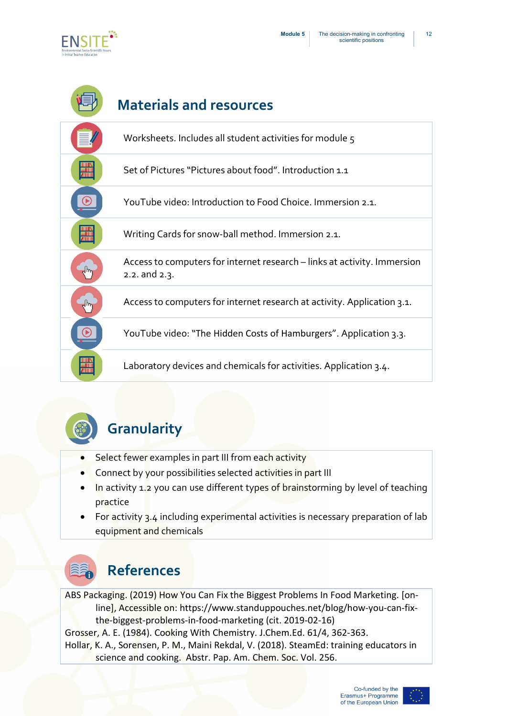![](_page_12_Picture_1.jpeg)

![](_page_12_Figure_2.jpeg)

![](_page_12_Picture_3.jpeg)

# **Granularity**

- Select fewer examples in part III from each activity
- Connect by your possibilities selected activities in part III
- In activity 1.2 you can use different types of brainstorming by level of teaching practice
- For activity 3.4 including experimental activities is necessary preparation of lab equipment and chemicals

![](_page_12_Picture_9.jpeg)

### **References**

ABS Packaging. (2019) How You Can Fix the Biggest Problems In Food Marketing. [online], Accessible on: [https://www.standuppouches.net/blog/how-you-can-fix](https://www.standuppouches.net/blog/how-you-can-fix-the-biggest-problems-in-food-marketing)[the-biggest-problems-in-food-marketing](https://www.standuppouches.net/blog/how-you-can-fix-the-biggest-problems-in-food-marketing) (cit. 2019-02-16) Grosser, A. E. (1984). [Cooking With Chemistry. J.Chem.Ed. 6](https://apps.webofknowledge.com/CitedFullRecord.do?product=WOS&colName=WOS&SID=F6HP7JudMfmPz1EkXqx&search_mode=CitedFullRecord&isickref=WOS:A1984SN25400020)1/4, 362-363.

Hollar, K. A., Sorensen, P. M., Maini Rekdal, V. (2018). SteamEd: training educators in science and cooking. Abstr. Pap. Am. Chem. Soc. Vol. 256.

![](_page_12_Picture_14.jpeg)